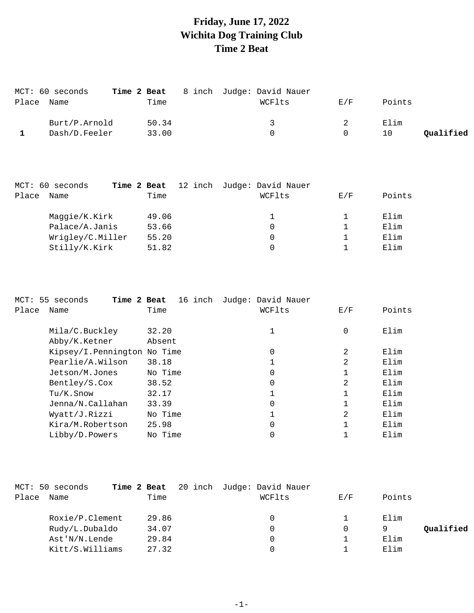## **Friday, June 17, 2022 Wichita Dog Training Club Time 2 Beat**

| MCT: 60 seconds |       | Time 2 Beat 8 inch Judge: David Nauer |     |        |           |
|-----------------|-------|---------------------------------------|-----|--------|-----------|
| Place Name      | Time  | WCFlts                                | E/F | Points |           |
| Burt/P.Arnold   | 50.34 | $\mathbf{z}$                          |     | Elim   |           |
| Dash/D.Feeler   | 33.00 |                                       |     | 1 O    | Qualified |

|                |      | Time             | WCFlts | E/F | Points |
|----------------|------|------------------|--------|-----|--------|
| Maggie/K.Kirk  |      | 49.06            |        |     | Elim   |
| Palace/A.Janis |      | 53.66            | 0      |     | Elim   |
|                |      | 55.20            | 0      |     | Elim   |
| Stilly/K.Kirk  |      | 51.82            | 0      |     | Elim   |
|                | Name | Wrigley/C.Miller |        |     |        |

|       | MCT: 55 seconds<br>Time 2 Beat | 16 inch | Judge: David Nauer |     |        |
|-------|--------------------------------|---------|--------------------|-----|--------|
| Place | Name                           | Time    | WCFlts             | E/F | Points |
|       | Mila/C.Buckley                 | 32.20   | 1                  | 0   | Elim   |
|       | Abby/K.Ketner                  | Absent  |                    |     |        |
|       | Kipsey/I.Pennington No Time    |         | 0                  | 2   | Elim   |
|       | Pearlie/A.Wilson               | 38.18   |                    | 2   | Elim   |
|       | Jetson/M.Jones                 | No Time | 0                  |     | Elim   |
|       | Bentley/S.Cox                  | 38.52   | $\Omega$           | 2   | Elim   |
|       | Tu/K.Snow                      | 32.17   |                    |     | Elim   |
|       | Jenna/N.Callahan               | 33.39   | $\Omega$           |     | Elim   |
|       | Wyatt/J.Rizzi                  | No Time |                    | 2   | Elim   |
|       | Kira/M.Robertson               | 25.98   | 0                  |     | Elim   |
|       | Libby/D.Powers                 | No Time |                    |     | Elim   |

|       | MCT: 50 seconds | Time 2 Beat |       | 20 inch Judge: David Nauer |     |        |           |
|-------|-----------------|-------------|-------|----------------------------|-----|--------|-----------|
| Place | Name            |             | Time  | WCFlts                     | E/F | Points |           |
|       | Roxie/P.Clement |             | 29.86 | 0                          |     | Elim   |           |
|       | Rudy/L.Dubaldo  |             | 34.07 | 0                          |     |        | Qualified |
|       | Ast'N/N.Lende   |             | 29.84 | 0                          |     | Elim   |           |
|       | Kitt/S.Williams |             | 27.32 |                            |     | Elim   |           |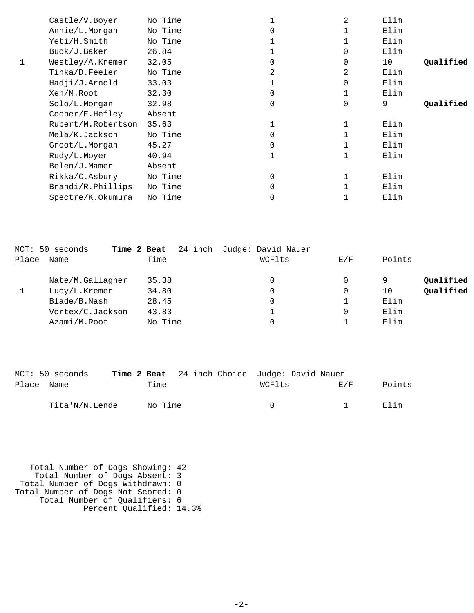| Castle/V.Boyer     | No Time |   | 2           | Elim |           |
|--------------------|---------|---|-------------|------|-----------|
| Annie/L.Morgan     | No Time |   |             | Elim |           |
| Yeti/H.Smith       | No Time |   |             | Elim |           |
| Buck/J.Baker       | 26.84   |   | 0           | Elim |           |
| Westley/A.Kremer   | 32.05   | 0 | $\mathbf 0$ | 10   | Qualified |
| Tinka/D.Feeler     | No Time | 2 | 2           | Elim |           |
| Hadji/J.Arnold     | 33.03   |   | $\Omega$    | Elim |           |
| Xen/M.Root         | 32.30   | 0 |             | Elim |           |
| Solo/L.Morgan      | 32.98   | 0 | $\mathbf 0$ | 9    | Qualified |
| Cooper/E.Hefley    | Absent  |   |             |      |           |
| Rupert/M.Robertson | 35.63   |   |             | Elim |           |
| Mela/K.Jackson     | No Time |   |             | Elim |           |
| Groot/L.Morgan     | 45.27   | 0 |             | Elim |           |
| Rudy/L.Moyer       | 40.94   |   |             | Elim |           |
| Belen/J.Mamer      | Absent  |   |             |      |           |
| Rikka/C.Asbury     | No Time | 0 |             | Elim |           |
| Brandi/R.Phillips  | No Time | 0 |             | Elim |           |
| Spectre/K.Okumura  | No Time | 0 |             | Elim |           |
|                    |         |   |             |      |           |

|       | MCT: 50 seconds  | Time 2 Beat | 24 inch Judge: David Nauer |          |                 |
|-------|------------------|-------------|----------------------------|----------|-----------------|
| Place | Name             | Time        | WCFlts                     | E/F      | Points          |
|       | Nate/M.Gallagher | 35.38       | 0                          | 0        | Qualified<br>9  |
|       | Lucy/L.Kremer    | 34.80       | 0                          | 0        | Qualified<br>10 |
|       | Blade/B.Nash     | 28.45       | 0                          |          | Elim            |
|       | Vortex/C.Jackson | 43.83       |                            | $\Omega$ | Elim            |
|       | Azami/M.Root     | No Time     |                            |          | Elim            |

|            | MCT: 50 seconds |         | <b>Time 2 Beat</b> 24 inch Choice Judge: David Nauer |        |        |        |
|------------|-----------------|---------|------------------------------------------------------|--------|--------|--------|
| Place Name |                 | Time    |                                                      | WCFlts | F. / F | Points |
|            | Tita'N/N.Lende  | No Time |                                                      |        |        | Elim   |

 Total Number of Dogs Showing: 42 Total Number of Dogs Absent: 3 Total Number of Dogs Withdrawn: 0 Total Number of Dogs Not Scored: 0 Total Number of Qualifiers: 6 Percent Qualified: 14.3%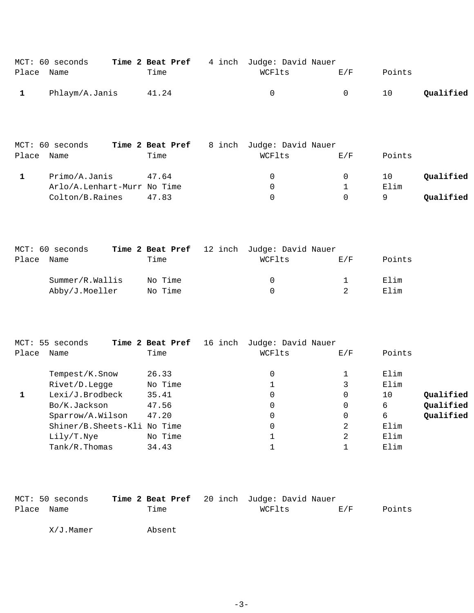|            | MCT: 60 seconds |       | <b>Time 2 Beat Pref</b> 4 inch Judge: David Nauer |     |        |           |
|------------|-----------------|-------|---------------------------------------------------|-----|--------|-----------|
| Place Name |                 | Time  | WCFlts                                            | F/K | Points |           |
|            | Phlaym/A.Janis  | 41.24 |                                                   |     | 10     | Qualified |

|       | MCT: 60 seconds             | Time 2 Beat Pref | 8 inch Judge: David Nauer |     |        |           |
|-------|-----------------------------|------------------|---------------------------|-----|--------|-----------|
| Place | Name                        | Time             | WCFlts                    | E/F | Points |           |
|       | Primo/A.Janis               | 47.64            | $\Omega$                  |     | 10     | Qualified |
|       | Arlo/A.Lenhart-Murr No Time |                  | $\Omega$                  |     | Elim   |           |
|       | Colton/B.Raines             | 47.83            | $\Omega$                  |     | Q      | Qualified |

|       | MCT: 60 seconds |         | Time 2 Beat Pref 12 inch Judge: David Nauer |     |        |
|-------|-----------------|---------|---------------------------------------------|-----|--------|
| Place | Name            | Time    | WCFlts                                      | E/F | Points |
|       | Summer/R.Wallis | No Time | $\Omega$                                    |     | Elim   |
|       | Abby/J.Moeller  | No Time | $\Omega$                                    |     | Elim   |

|       | MCT: 55 seconds             | Time 2 Beat Pref<br>16 inch | Judge: David Nauer |     |                 |
|-------|-----------------------------|-----------------------------|--------------------|-----|-----------------|
| Place | Name                        | Time                        | WCFlts             | E/F | Points          |
|       | Tempest/K.Snow              | 26.33                       | 0                  |     | Elim            |
|       | Rivet/D.Legge               | No Time                     |                    | 3   | Elim            |
|       | Lexi/J.Brodbeck             | 35.41                       | 0                  | 0   | Qualified<br>10 |
|       | Bo/K.Jackson                | 47.56                       | 0                  | 0   | Qualified<br>6  |
|       | Sparrow/A.Wilson            | 47.20                       | 0                  | 0   | Qualified<br>6  |
|       | Shiner/B.Sheets-Kli No Time |                             | 0                  | 2   | Elim            |
|       | Lily/T.Nye                  | No Time                     |                    | 2   | Elim            |
|       | $Tank/R$ . Thomas           | 34.43                       |                    |     | Elim            |

|            | MCT: 50 seconds | Time 2 Beat Pref 20 inch Judge: David Nauer |        |     |        |
|------------|-----------------|---------------------------------------------|--------|-----|--------|
| Place Name |                 | Time                                        | WCFlts | E/F | Points |

X/J.Mamer Absent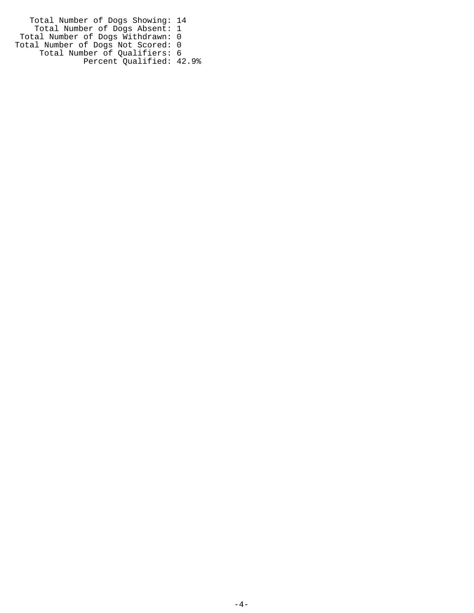Total Number of Dogs Showing: 14 Total Number of Dogs Absent: 1 Total Number of Dogs Withdrawn: 0 Total Number of Dogs Not Scored: 0 Total Number of Qualifiers: 6 Percent Qualified: 42.9%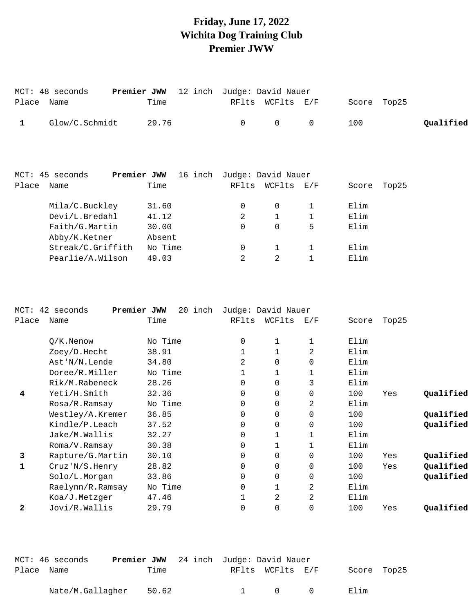### **Friday, June 17, 2022 Wichita Dog Training Club Premier JWW**

|              | MCT: 48 seconds<br>Premier JWW   | 12 inch                    |          | Judge: David Nauer |                   |              |       |           |
|--------------|----------------------------------|----------------------------|----------|--------------------|-------------------|--------------|-------|-----------|
| Place        | Name                             | Time                       | RFlts    | WCFlts             | E/F               | Score        | Top25 |           |
| $\mathbf{1}$ | Glow/C.Schmidt                   | 29.76                      | 0        | 0                  | $\mathbf 0$       | 100          |       | Qualified |
|              | Premier JWW<br>MCT: 45 seconds   | 16 inch Judge: David Nauer |          |                    |                   |              |       |           |
| Place        | Name                             | Time                       | RFlts    | WCFlts             | $\rm E/F$         | Score        | Top25 |           |
|              | Mila/C.Buckley<br>Devi/L.Bredahl | 31.60<br>41.12             | 0<br>2   | 0<br>$\mathbf 1$   | 1<br>$\mathbf{1}$ | Elim<br>Elim |       |           |
|              | Faith/G.Martin                   | 30.00                      | $\Omega$ | $\mathbf 0$        | 5                 | Elim         |       |           |
|              | Abby/K.Ketner                    | Absent                     |          |                    |                   |              |       |           |
|              | Streak/C.Griffith                | No Time                    | 0        | 1                  | $\mathbf{1}$      | Elim         |       |           |
|              | Pearlie/A.Wilson                 | 49.03                      | 2        | 2                  |                   | Elim         |       |           |

| $MCT$ : | 42 seconds       | 20 inch<br>Premier JWW |          | Judge: David Nauer |                |       |       |           |
|---------|------------------|------------------------|----------|--------------------|----------------|-------|-------|-----------|
| Place   | Name             | Time                   | RFlts    | WCFlts             | E/F            | Score | Top25 |           |
|         | $Q/K$ . Nenow    | No Time                | $\Omega$ |                    |                | Elim  |       |           |
|         | Zoey/D.Hecht     | 38.91                  |          |                    | 2              | Elim  |       |           |
|         | Ast'N/N.Lende    | 34.80                  | 2        | 0                  | $\Omega$       | Elim  |       |           |
|         | Doree/R.Miller   | No Time                |          |                    |                | Elim  |       |           |
|         | Rik/M.Rabeneck   | 28.26                  | $\Omega$ | $\Omega$           | 3              | Elim  |       |           |
| 4       | Yeti/H.Smith     | 32.36                  | 0        | 0                  | $\mathbf 0$    | 100   | Yes   | Qualified |
|         | Rosa/R.Ramsay    | No Time                | $\Omega$ | 0                  | 2              | Elim  |       |           |
|         | Westley/A.Kremer | 36.85                  | 0        | 0                  | $\Omega$       | 100   |       | Qualified |
|         | Kindle/P.Leach   | 37.52                  | $\Omega$ | $\Omega$           | $\Omega$       | 100   |       | Qualified |
|         | Jake/M.Wallis    | 32.27                  | 0        |                    |                | Elim  |       |           |
|         | Roma/V.Ramsay    | 30.38                  | 0        |                    |                | Elim  |       |           |
| 3       | Rapture/G.Martin | 30.10                  | 0        | 0                  | $\mathbf 0$    | 100   | Yes   | Qualified |
| 1       | Cruz'N/S.Henry   | 28.82                  | 0        | 0                  | $\mathbf 0$    | 100   | Yes   | Qualified |
|         | Solo/L.Morgan    | 33.86                  | 0        | 0                  | $\mathbf 0$    | 100   |       | Qualified |
|         | Raelynn/R.Ramsay | No Time                | 0        |                    | 2              | Elim  |       |           |
|         | Koa/J.Metzger    | 47.46                  |          | 2                  | $\overline{2}$ | Elim  |       |           |
| 2       | Jovi/R.Wallis    | 29.79                  | 0        | 0                  | $\overline{0}$ | 100   | Yes   | Qualified |

|            | MCT: 46 seconds  | <b>Premier JWW</b> 24 inch Judge: David Nauer |                               |                  |        |             |  |
|------------|------------------|-----------------------------------------------|-------------------------------|------------------|--------|-------------|--|
| Place Name |                  | Time                                          |                               | RFlts WCFlts E/F |        | Score Top25 |  |
|            | Nate/M.Gallagher | 50.62                                         | and the state of the state of | $\cap$           | $\cap$ | Elim        |  |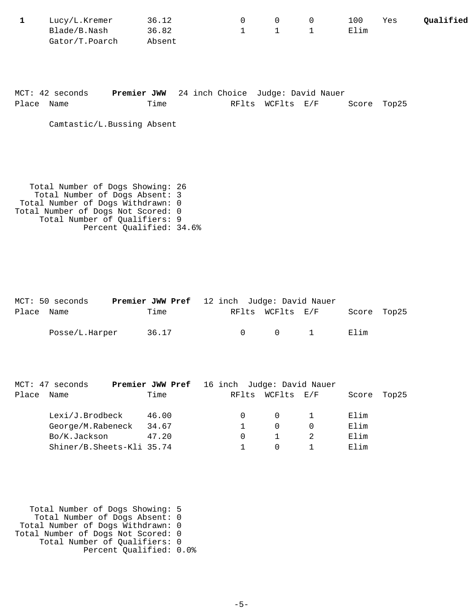| Lucy/L.Kremer  | 36.12  |  | 100  | Yes | Oualified |
|----------------|--------|--|------|-----|-----------|
| Blade/B.Nash   | 36.82  |  | Elim |     |           |
| Gator/T.Poarch | Absent |  |      |     |           |

|            | MCT: 42 seconds | <b>Premier JWW</b> 24 inch Choice Judge: David Nauer |  |                  |  |             |
|------------|-----------------|------------------------------------------------------|--|------------------|--|-------------|
| Place Name |                 | Time                                                 |  | RFlts WCFlts E/F |  | Score Top25 |

Camtastic/L.Bussing Absent

 Total Number of Dogs Showing: 26 Total Number of Dogs Absent: 3 Total Number of Dogs Withdrawn: 0 Total Number of Dogs Not Scored: 0 Total Number of Qualifiers: 9 Percent Qualified: 34.6%

|            | MCT: 50 seconds | <b>Premier JWW Pref</b> 12 inch Judge: David Nauer |  |                       |             |  |
|------------|-----------------|----------------------------------------------------|--|-----------------------|-------------|--|
| Place Name |                 | Time                                               |  | RFlts WCFlts E/F      | Score Top25 |  |
|            | Posse/L.Harper  | 36.17                                              |  | $0 \qquad 0 \qquad 1$ | Elim        |  |
|            |                 |                                                    |  |                       |             |  |

|       | MCT: 47 seconds           | <b>Premier JWW Pref</b> 16 inch Judge: David Nauer |       |            |       |       |
|-------|---------------------------|----------------------------------------------------|-------|------------|-------|-------|
| Place | Name                      | Time                                               | RFlts | WCFlts E/F | Score | Top25 |
|       | Lexi/J.Brodbeck           | 46.00                                              |       | $\Omega$   | Elim  |       |
|       | George/M.Rabeneck         | 34.67                                              |       | 0          | Elim  |       |
|       | Bo/K.Jackson              | 47.20                                              |       |            | Elim  |       |
|       | Shiner/B.Sheets-Kli 35.74 |                                                    |       |            | Elim  |       |

 Total Number of Dogs Showing: 5 Total Number of Dogs Absent: 0 Total Number of Dogs Withdrawn: 0 Total Number of Dogs Not Scored: 0 Total Number of Qualifiers: 0 Percent Qualified: 0.0%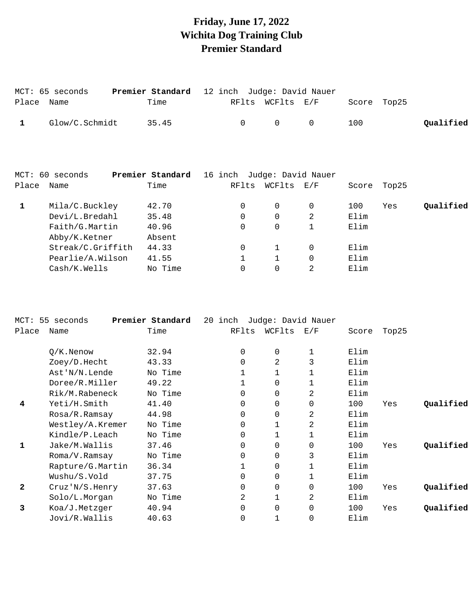# **Friday, June 17, 2022 Wichita Dog Training Club Premier Standard**

|       | MCT: 65 seconds   | Premier Standard | 12 inch                    | Judge: David Nauer |              |       |       |           |
|-------|-------------------|------------------|----------------------------|--------------------|--------------|-------|-------|-----------|
| Place | Name              | Time             | RFlts                      | WCFlts E/F         |              | Score | Top25 |           |
| 1     | Glow/C.Schmidt    | 35.45            | 0                          | $\mathbf 0$        | 0            | 100   |       | Qualified |
|       |                   |                  |                            |                    |              |       |       |           |
|       | MCT: 60 seconds   | Premier Standard | 16 inch Judge: David Nauer |                    |              |       |       |           |
| Place | Name              | Time             | RFlts                      | WCFlts E/F         |              | Score | Top25 |           |
| 1     | Mila/C.Buckley    | 42.70            | 0                          | $\Omega$           | $\mathbf 0$  | 100   | Yes   | Qualified |
|       | Devi/L.Bredahl    | 35.48            | $\Omega$                   | $\Omega$           | 2            | Elim  |       |           |
|       | Faith/G.Martin    | 40.96            | $\mathbf 0$                | $\Omega$           | $\mathbf{1}$ | Elim  |       |           |
|       | Abby/K.Ketner     | Absent           |                            |                    |              |       |       |           |
|       | Streak/C.Griffith | 44.33            | 0                          | $\mathbf{1}$       | 0            | Elim  |       |           |
|       | Pearlie/A.Wilson  | 41.55            |                            |                    | $\Omega$     | Elim  |       |           |
|       | Cash/K.Wells      | No Time          | 0                          | 0                  | 2            | Elim  |       |           |

| $MCT$ :      | 55 seconds       | Premier Standard | 20 | inch  | Judge: David Nauer |             |       |       |           |
|--------------|------------------|------------------|----|-------|--------------------|-------------|-------|-------|-----------|
| Place        | Name             | Time             |    | RFlts | WCFlts             | E/F         | Score | Top25 |           |
|              | $Q/K$ . Nenow    | 32.94            |    | 0     | 0                  |             | Elim  |       |           |
|              | Zoey/D.Hecht     | 43.33            |    | 0     | 2                  | 3           | Elim  |       |           |
|              | Ast'N/N.Lende    | No Time          |    |       |                    |             | Elim  |       |           |
|              | Doree/R.Miller   | 49.22            |    |       | 0                  |             | Elim  |       |           |
|              | Rik/M.Rabeneck   | No Time          |    | 0     | 0                  | 2           | Elim  |       |           |
| 4            | Yeti/H.Smith     | 41.40            |    | 0     | 0                  | $\mathbf 0$ | 100   | Yes   | Qualified |
|              | Rosa/R.Ramsay    | 44.98            |    | 0     | 0                  | 2           | Elim  |       |           |
|              | Westley/A.Kremer | No Time          |    | 0     |                    | 2           | Elim  |       |           |
|              | Kindle/P.Leach   | No Time          |    | 0     |                    |             | Elim  |       |           |
| 1            | Jake/M.Wallis    | 37.46            |    | 0     | 0                  | $\Omega$    | 100   | Yes   | Qualified |
|              | Roma/V.Ramsay    | No Time          |    | 0     | 0                  | 3           | Elim  |       |           |
|              | Rapture/G.Martin | 36.34            |    |       | 0                  |             | Elim  |       |           |
|              | Wushu/S.Vold     | 37.75            |    | 0     | 0                  |             | Elim  |       |           |
| $\mathbf{2}$ | Cruz' N/S.Henry  | 37.63            |    | 0     | 0                  | $\Omega$    | 100   | Yes   | Qualified |
|              | Solo/L.Morgan    | No Time          |    | 2     |                    | 2           | Elim  |       |           |
| 3            | Koa/J.Metzger    | 40.94            |    | 0     | 0                  | $\Omega$    | 100   | Yes   | Qualified |
|              | Jovi/R.Wallis    | 40.63            |    | 0     |                    | 0           | Elim  |       |           |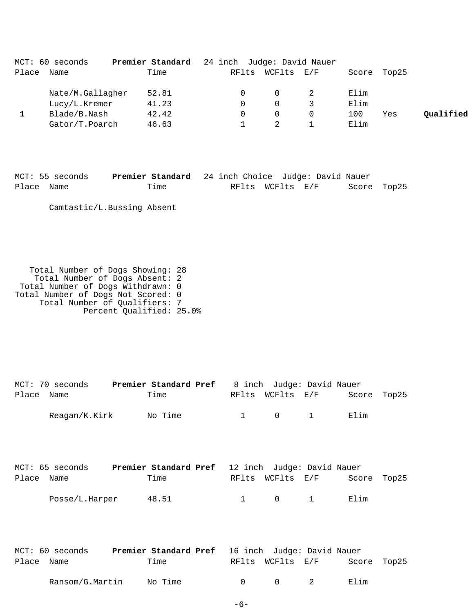|       | MCT: 60 seconds  | Premier Standard | 24 inch Judge: David Nauer |          |                             |       |       |           |
|-------|------------------|------------------|----------------------------|----------|-----------------------------|-------|-------|-----------|
| Place | Name             | Time             | RFlts                      | WCFlts   | $\mathrm{E}$ / $\mathrm{F}$ | Score | Top25 |           |
|       | Nate/M.Gallagher | 52.81            |                            | $\Omega$ |                             | Elim  |       |           |
|       | Lucy/L.Kremer    | 41.23            |                            | $\Omega$ |                             | Elim  |       |           |
|       | Blade/B.Nash     | 42.42            |                            | $\Omega$ |                             | 100   | Yes   | Qualified |
|       | Gator/T.Poarch   | 46.63            |                            |          |                             | Elim  |       |           |

|            | MCT: 55 seconds | Premier Standard 24 inch Choice Judge: David Nauer |  |                  |             |  |
|------------|-----------------|----------------------------------------------------|--|------------------|-------------|--|
| Place Name |                 | Time                                               |  | RFlts WCFlts E/F | Score Top25 |  |

Camtastic/L.Bussing Absent

 Total Number of Dogs Showing: 28 Total Number of Dogs Absent: 2 Total Number of Dogs Withdrawn: 0 Total Number of Dogs Not Scored: 0 Total Number of Qualifiers: 7 Percent Qualified: 25.0%

| Place      | MCT: 70 seconds <b>Premier Standard Pref</b> 8 inch Judge: David Nauer<br>Name  | Time  | RFlts        | $WCFlts$ $E/F$ |              | Score | Top25 |
|------------|---------------------------------------------------------------------------------|-------|--------------|----------------|--------------|-------|-------|
|            | Reagan/K.Kirk No Time                                                           |       | $\mathbf{1}$ | $\Omega$       | $\mathbf{1}$ | Elim  |       |
|            |                                                                                 |       |              |                |              |       |       |
| Place      | MCT: 65 seconds <b>Premier Standard Pref</b> 12 inch Judge: David Nauer<br>Name | Time  | RFlts        | WCFlts E/F     |              | Score | Top25 |
|            | Posse/L.Harper                                                                  | 48.51 | $\mathbf{1}$ | $\mathbf 0$    | $\mathbf{1}$ | Elim  |       |
|            |                                                                                 |       |              |                |              |       |       |
|            | MCT: 60 seconds <b>Premier Standard Pref</b> 16 inch Judge: David Nauer         |       |              |                |              |       |       |
| Place Name |                                                                                 | Time  | RFlts        | WCFlts E/F     |              | Score | Top25 |

Ransom/G.Martin No Time 0 0 0 2 Elim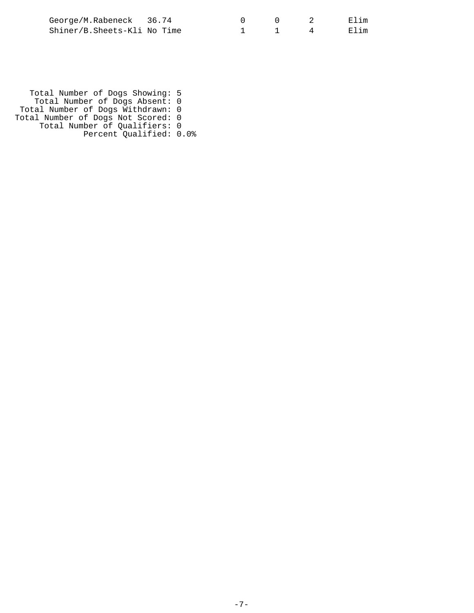| George/M.Rabeneck 36.74     |  |  | Elim |
|-----------------------------|--|--|------|
| Shiner/B.Sheets-Kli No Time |  |  | Elim |

 Total Number of Dogs Showing: 5 Total Number of Dogs Absent: 0 Total Number of Dogs Withdrawn: 0 Total Number of Dogs Not Scored: 0 Total Number of Qualifiers: 0 Percent Qualified: 0.0%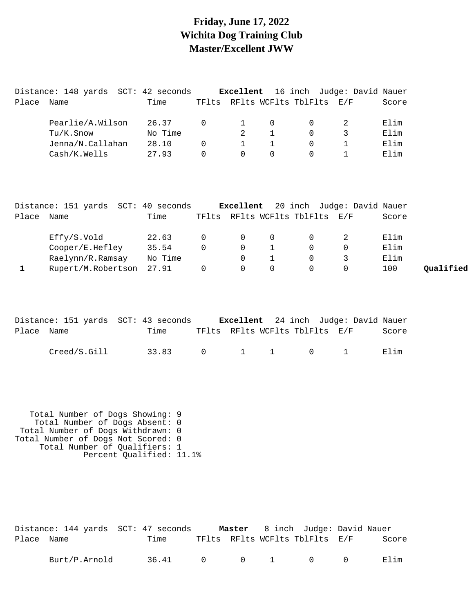#### **Friday, June 17, 2022 Wichita Dog Training Club Master/Excellent JWW**

|       | Distance: 148 yards | SCT: 42 seconds |          | Excellent |          |                          | 16 inch Judge: David Nauer |       |
|-------|---------------------|-----------------|----------|-----------|----------|--------------------------|----------------------------|-------|
| Place | Name                | Time            | TFlts    |           |          | RFlts WCFlts TblFlts E/F |                            | Score |
|       |                     |                 |          |           |          |                          |                            |       |
|       | Pearlie/A.Wilson    | 26.37           | $\Omega$ |           | $\Omega$ |                          |                            | Elim  |
|       | Tu/K.Snow           | No Time         |          |           |          | 0                        |                            | Elim  |
|       | Jenna/N.Callahan    | 28.10           | 0        |           |          |                          |                            | Elim  |
|       | Cash/K.Wells        | 27.93           | $\Omega$ | $\Omega$  | $\Omega$ |                          |                            | Elim  |
|       |                     |                 |          |           |          |                          |                            |       |

|       | Distance: 151 yards SCT: 40 seconds |         |          |          |          |                                | <b>Excellent</b> 20 inch Judge: David Nauer |       |           |
|-------|-------------------------------------|---------|----------|----------|----------|--------------------------------|---------------------------------------------|-------|-----------|
| Place | Name                                | Time    |          |          |          | TFlts RFlts WCFlts TblFlts E/F |                                             | Score |           |
|       | Effy/S.Vold                         | 22.63   | $\Omega$ | $\Omega$ | $\Omega$ | $\Omega$                       |                                             | Elim  |           |
|       | Cooper/E.Hefley                     | 35.54   | 0        | $\Omega$ |          |                                |                                             | Elim  |           |
|       | Raelynn/R.Ramsay                    | No Time |          | $\Omega$ |          |                                |                                             | Elim  |           |
|       | Rupert/M.Robertson 27.91            |         |          | $\Omega$ | $\Omega$ |                                |                                             | 100   | Oualified |

|            | Distance: 151 yards SCT: 43 seconds |                 |                                | <b>Excellent</b> 24 inch Judge: David Nauer |  |       |
|------------|-------------------------------------|-----------------|--------------------------------|---------------------------------------------|--|-------|
| Place Name |                                     | Time            | TFlts RFlts WCFlts TblFlts E/F |                                             |  | Score |
|            | Creed/S.Gill                        | 33.83 0 1 1 0 1 |                                |                                             |  | Filim |

 Total Number of Dogs Showing: 9 Total Number of Dogs Absent: 0 Total Number of Dogs Withdrawn: 0 Total Number of Dogs Not Scored: 0 Total Number of Qualifiers: 1 Percent Qualified: 11.1%

|            | Distance: 144 yards SCT: 47 seconds |       |  | <b>Master</b> 8 inch Judge: David Nauer |       |
|------------|-------------------------------------|-------|--|-----------------------------------------|-------|
| Place Name |                                     | Time  |  | TFlts RFlts WCFlts TblFlts E/F          | Score |
|            | Burt/P.Arnold                       | 36.41 |  | $0 \qquad 0 \qquad 1 \qquad 0 \qquad 0$ | Flim  |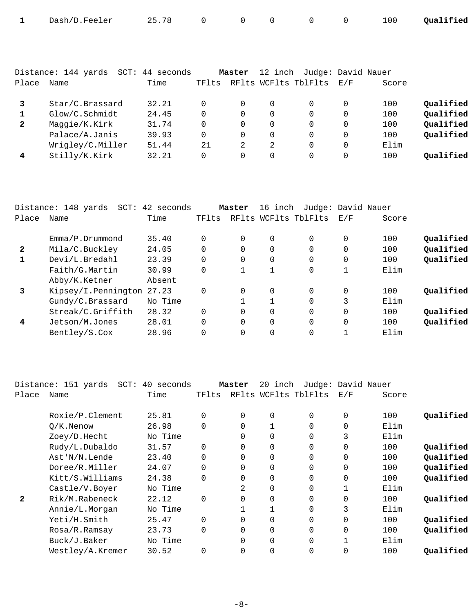| Dash/D.Feeler | 25.78 |  |  | 100 | Qualified |
|---------------|-------|--|--|-----|-----------|
|               |       |  |  |     |           |

| Place        | Distance: 144 yards<br>SCT:<br>Name | 44 seconds<br>Time | TFlts    | Master   | 12 inch  | RFlts WCFlts TblFlts | Judge: David Nauer<br>E/F | Score |           |
|--------------|-------------------------------------|--------------------|----------|----------|----------|----------------------|---------------------------|-------|-----------|
|              | Star/C.Brassard                     | 32.21              |          | 0        | $\Omega$ | $\Omega$             | 0                         | 100   | Oualified |
|              | Glow/C.Schmidt                      | 24.45              | $\Omega$ | 0        | 0        | $\Omega$             | $\Omega$                  | 100   | Qualified |
| $\mathbf{2}$ | Maqqie/K.Kirk                       | 31.74              | $\Omega$ | $\Omega$ | 0        | $\Omega$             | $\Omega$                  | 100   | Qualified |
|              | Palace/A.Janis                      | 39.93              | $\Omega$ | 0        | 0        | $\Omega$             | $\Omega$                  | 100   | Qualified |
|              | Wrigley/C.Miller                    | 51.44              | 21       | 2        | 2        | $\Omega$             | $\Omega$                  | Elim  |           |
| 4            | Stilly/K.Kirk                       | 32.21              | $\Omega$ | 0        | 0        | $\Omega$             | 0                         | 100   | Oualified |

|              | Distance: 148 yards<br>SCT: | 42 seconds |          | Master   | 16 inch  |                      | Judge: David Nauer |       |           |
|--------------|-----------------------------|------------|----------|----------|----------|----------------------|--------------------|-------|-----------|
| Place        | Name                        | Time       | TFlts    |          |          | RFlts WCFlts TblFlts | E/F                | Score |           |
|              | Emma/P.Drummond             | 35.40      | $\Omega$ | $\Omega$ | 0        | $\Omega$             | 0                  | 100   | Oualified |
| $\mathbf{2}$ | Mila/C.Buckley              | 24.05      | $\Omega$ | $\Omega$ | $\Omega$ | $\Omega$             | 0                  | 100   | Qualified |
| $\mathbf{1}$ | Devi/L.Bredahl              | 23.39      | $\Omega$ | $\Omega$ | $\Omega$ | $\Omega$             | 0                  | 100   | Qualified |
|              | Faith/G.Martin              | 30.99      | $\Omega$ |          | 1        | 0                    | 1                  | Elim  |           |
|              | Abby/K.Ketner               | Absent     |          |          |          |                      |                    |       |           |
| 3            | Kipsey/I.Pennington         | 27.23      | $\Omega$ | $\Omega$ | $\Omega$ | $\Omega$             |                    | 100   | Oualified |
|              | Gundy/C.Brassard            | No Time    |          |          | 1        | $\Omega$             | 3                  | Elim  |           |
|              | Streak/C.Griffith           | 28.32      | $\Omega$ | $\Omega$ | $\Omega$ | $\Omega$             | $\Omega$           | 100   | Qualified |
| 4            | Jetson/M.Jones              | 28.01      | $\Omega$ | $\Omega$ | $\Omega$ | $\Omega$             | $\Omega$           | 100   | Qualified |
|              | Bentley/S.Cox               | 28.96      | $\Omega$ |          | $\Omega$ | $\Omega$             |                    | Elim  |           |

|              | Distance: 151 yards<br>$SCT$ : | 40 seconds |          | Master   | 20 inch      | Judge: David Nauer   |              |       |           |
|--------------|--------------------------------|------------|----------|----------|--------------|----------------------|--------------|-------|-----------|
| Place        | Name                           | Time       | TFlts    |          |              | RFlts WCFlts TblFlts | E/F          | Score |           |
|              | Roxie/P.Clement                | 25.81      | $\Omega$ | $\Omega$ | $\Omega$     | $\Omega$             | $\Omega$     | 100   | Qualified |
|              | $O/K$ . Nenow                  | 26.98      | $\Omega$ |          |              | $\Omega$             | $\mathbf 0$  | Elim  |           |
|              | Zoey/D.Hecht                   | No Time    |          | $\Omega$ | 0            | 0                    | 3            | Elim  |           |
|              | Rudy/L.Dubaldo                 | 31.57      | $\Omega$ | $\Omega$ | 0            | $\Omega$             | $\mathbf 0$  | 100   | Qualified |
|              | Ast'N/N.Lende                  | 23.40      | $\Omega$ | $\Omega$ | 0            | $\Omega$             | 0            | 100   | Qualified |
|              | Doree/R.Miller                 | 24.07      | $\Omega$ |          | 0            | $\Omega$             | $\mathbf 0$  | 100   | Qualified |
|              | Kitt/S.Williams                | 24.38      | $\Omega$ |          | 0            | $\Omega$             | 0            | 100   | Qualified |
|              | Castle/V.Boyer                 | No Time    |          | 2        | $\Omega$     | $\Omega$             | $\mathbf{1}$ | Elim  |           |
| $\mathbf{2}$ | Rik/M.Rabeneck                 | 22.12      | $\Omega$ |          | 0            | $\Omega$             | $\mathbf 0$  | 100   | Qualified |
|              | Annie/L.Morgan                 | No Time    |          |          | $\mathbf{1}$ | $\Omega$             | 3            | Elim  |           |
|              | Yeti/H.Smith                   | 25.47      | $\Omega$ |          | 0            | 0                    | 0            | 100   | Qualified |
|              | Rosa/R.Ramsay                  | 23.73      | $\Omega$ | $\Omega$ | 0            | $\Omega$             | $\mathbf 0$  | 100   | Qualified |
|              | Buck/J.Baker                   | No Time    |          |          | $\Omega$     | $\Omega$             | $\mathbf{1}$ | Elim  |           |
|              | Westley/A.Kremer               | 30.52      | $\Omega$ |          | 0            | 0                    | $\Omega$     | 100   | Oualified |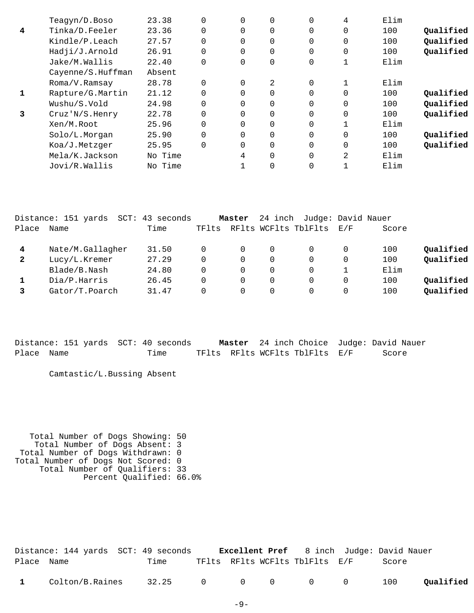| Qualified |
|-----------|
| Qualified |
| Qualified |
|           |
|           |
|           |
| Oualified |
| Qualified |
| Qualified |
|           |
| Qualified |
| Qualified |
|           |
|           |
|           |

|              | Distance: 151 yards<br>SCT: | 43 seconds |       | Master   | 24 inch  | Judge: David Nauer   |          |       |           |
|--------------|-----------------------------|------------|-------|----------|----------|----------------------|----------|-------|-----------|
| Place        | Name                        | Time       | TFlts |          |          | RFlts WCFlts TblFlts | E/F      | Score |           |
| 4            | Nate/M.Gallagher            | 31.50      |       | 0        | 0        |                      | $\Omega$ | 100   | Qualified |
| $\mathbf{2}$ | Lucy/L.Kremer               | 27.29      |       | $\Omega$ | $\Omega$ |                      | $\Omega$ | 100   | Qualified |
|              | Blade/B.Nash                | 24.80      |       | $\Omega$ | 0        |                      |          | Elim  |           |
|              | Dia/P.Harris                | 26.45      |       | 0        | 0        |                      | $\Omega$ | 100   | Oualified |
|              | Gator/T.Poarch              | 31.47      |       | 0        | $\Omega$ |                      | $\Omega$ | 100   | Qualified |
|              |                             |            |       |          |          |                      |          |       |           |

|            |  | Distance: 151 yards SCT: 40 seconds |  |                                | Master 24 inch Choice Judge: David Nauer |
|------------|--|-------------------------------------|--|--------------------------------|------------------------------------------|
| Place Name |  | Time                                |  | TFlts RFlts WCFlts TblFlts E/F | Score                                    |

Camtastic/L.Bussing Absent

 Total Number of Dogs Showing: 50 Total Number of Dogs Absent: 3 Total Number of Dogs Withdrawn: 0 Total Number of Dogs Not Scored: 0 Total Number of Qualifiers: 33 Percent Qualified: 66.0%

|              | Distance: 144 yards SCT: 49 seconds |                 |  |                                | <b>Excellent Pref</b> 8 inch Judge: David Nauer |           |
|--------------|-------------------------------------|-----------------|--|--------------------------------|-------------------------------------------------|-----------|
| Place Name   |                                     | Time            |  | TFlts RFlts WCFlts TblFlts E/F | Score                                           |           |
| $\mathbf{1}$ | Colton/B.Raines                     | 32.25 0 0 0 0 0 |  |                                | 100                                             | Qualified |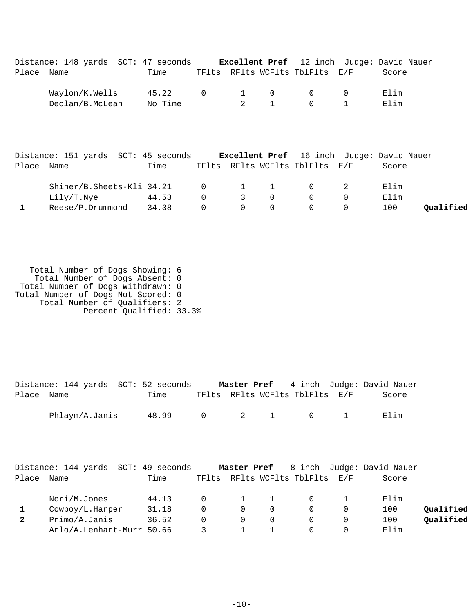|       | Distance: 148 yards SCT: 47 seconds |                  |                |                |                          |                                                         | <b>Excellent Pref</b> 12 inch Judge: David Nauer |
|-------|-------------------------------------|------------------|----------------|----------------|--------------------------|---------------------------------------------------------|--------------------------------------------------|
| Place | Name                                | Time             |                |                |                          | TFlts RFlts WCFlts TblFlts E/F                          | Score                                            |
|       | Waylon/K.Wells<br>Declan/B.McLean   | 45.22<br>No Time | $\overline{0}$ | $\overline{2}$ | $1 \qquad 0$<br>$\sim$ 1 | $\cap$ $\cap$<br>$\begin{array}{ccc} 0 & 1 \end{array}$ | Elim<br>Elim                                     |

|            | Distance: 151 yards SCT: 45 seconds |       |          |                         |                                 |                                | <b>Excellent Pref</b> 16 inch Judge: David Nauer |           |
|------------|-------------------------------------|-------|----------|-------------------------|---------------------------------|--------------------------------|--------------------------------------------------|-----------|
| Place Name |                                     | Time  |          |                         |                                 | TFlts RFlts WCFlts TblFlts E/F | Score                                            |           |
|            | Shiner/B.Sheets-Kli 34.21 0 1 1 0 2 |       |          |                         |                                 |                                | Elim                                             |           |
|            | Lily/T.Nye                          | 44.53 | $\Omega$ | $\overline{\mathbf{3}}$ | $\overline{0}$                  | $\bigcap$                      | Elim                                             |           |
|            | Reese/P.Drummond                    | 34.38 | $\Omega$ |                         | $\begin{matrix}0&0\end{matrix}$ |                                | 100                                              | Oualified |

 Total Number of Dogs Showing: 6 Total Number of Dogs Absent: 0 Total Number of Dogs Withdrawn: 0 Total Number of Dogs Not Scored: 0 Total Number of Qualifiers: 2 Percent Qualified: 33.3%

|            | Distance: 144 yards SCT: 52 seconds |       |  |                                         | <b>Master Pref</b> 4 inch Judge: David Nauer |
|------------|-------------------------------------|-------|--|-----------------------------------------|----------------------------------------------|
| Place Name |                                     | Time  |  | TFlts RFlts WCFlts TblFlts E/F          | Score                                        |
|            | Phlaym/A.Janis                      | 48.99 |  | $0 \qquad 2 \qquad 1 \qquad 0 \qquad 1$ | Elim                                         |

|       | Distance: 144 yards SCT: 49 seconds |       |          |          |                                | Master Pref 8 inch Judge: David Nauer |           |
|-------|-------------------------------------|-------|----------|----------|--------------------------------|---------------------------------------|-----------|
| Place | Name                                | Time  |          |          | TFlts RFlts WCFlts TblFlts E/F | Score                                 |           |
|       | Nori/M.Jones                        | 44.13 | $\Omega$ | 1        | $\Omega$                       | Elim                                  |           |
|       | Cowboy/L.Harper                     | 31.18 | $\Omega$ | $\Omega$ |                                | 100                                   | Qualified |
|       | Primo/A.Janis                       | 36.52 | $\Omega$ | $\Omega$ | $\Omega$                       | 100                                   | Qualified |
|       | Arlo/A.Lenhart-Murr 50.66           |       |          |          |                                | Elim                                  |           |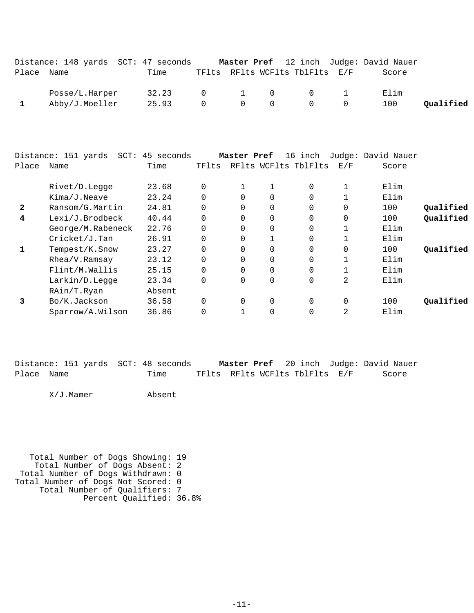|            |                | Distance: 148 yards SCT: 47 seconds |  |                                                                 | Master Pref 12 inch Judge: David Nauer |           |
|------------|----------------|-------------------------------------|--|-----------------------------------------------------------------|----------------------------------------|-----------|
| Place Name |                | Time                                |  | TFlts RFlts WCFlts TblFlts E/F                                  | Score                                  |           |
|            | Posse/L.Harper | 32.23                               |  | $0 \qquad 1 \qquad 0 \qquad 0 \qquad 1$                         | Elim                                   |           |
|            | Abby/J.Moeller | 25.93                               |  | $0\qquad \qquad 0\qquad \qquad 0\qquad \qquad 0\qquad \qquad 0$ | 100                                    | Oualified |

|              | Distance: 151 yards | SCT: 45 seconds |          | Master Pref |                | 16 inch              |              | Judge: David Nauer |           |
|--------------|---------------------|-----------------|----------|-------------|----------------|----------------------|--------------|--------------------|-----------|
| Place        | Name                | Time            | TFlts    |             |                | RFlts WCFlts TblFlts | E/F          | Score              |           |
|              | Rivet/D.Legge       | 23.68           | $\Omega$ |             |                | $\Omega$             | $\mathbf{1}$ | Elim               |           |
|              | Kima/J.Neave        | 23.24           | $\Omega$ | $\Omega$    | 0              | $\Omega$             |              | Elim               |           |
| $\mathbf{2}$ | Ransom/G.Martin     | 24.81           | $\Omega$ | $\Omega$    | $\mathbf 0$    | $\Omega$             | $\Omega$     | 100                | Qualified |
| 4            | Lexi/J.Brodbeck     | 40.44           | $\Omega$ | 0           | $\mathbf 0$    | $\Omega$             | $\Omega$     | 100                | Qualified |
|              | George/M.Rabeneck   | 22.76           | $\Omega$ | $\Omega$    | $\overline{0}$ | $\Omega$             | 1            | Elim               |           |
|              | Cricket/J.Tan       | 26.91           | $\Omega$ | $\Omega$    |                | $\Omega$             | $\mathbf{1}$ | Elim               |           |
|              | Tempest/K.Snow      | 23.27           | 0        | $\Omega$    | $\mathbf 0$    | $\Omega$             | $\Omega$     | 100                | Qualified |
|              | Rhea/V.Ramsay       | 23.12           | 0        | $\Omega$    | $\overline{0}$ | $\Omega$             | 1            | Elim               |           |
|              | Flint/M.Wallis      | 25.15           | $\Omega$ | $\Omega$    | $\overline{0}$ | $\Omega$             |              | Elim               |           |
|              | Larkin/D.Legge      | 23.34           | $\Omega$ | $\Omega$    | $\mathbf 0$    | $\Omega$             | 2            | Elim               |           |
|              | RAin/T.Ryan         | Absent          |          |             |                |                      |              |                    |           |
| 3            | Bo/K.Jackson        | 36.58           | $\Omega$ | $\Omega$    | $\overline{0}$ | $\Omega$             | $\Omega$     | 100                | Oualified |
|              | Sparrow/A.Wilson    | 36.86           | 0        |             | 0              | 0                    | 2            | Elim               |           |

|            |  |  | Distance: 151 yards SCT: 48 seconds |  | <b>Master Pref</b> 20 inch Judge: David Nauer |  |       |
|------------|--|--|-------------------------------------|--|-----------------------------------------------|--|-------|
| Place Name |  |  | Time                                |  | TFlts RFlts WCFlts TblFlts E/F                |  | Score |

X/J.Mamer Absent

 Total Number of Dogs Showing: 19 Total Number of Dogs Absent: 2 Total Number of Dogs Withdrawn: 0 Total Number of Dogs Not Scored: 0 Total Number of Qualifiers: 7 Percent Qualified: 36.8%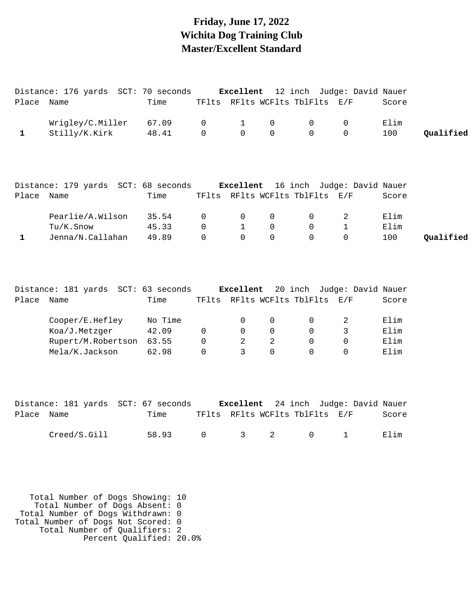### **Friday, June 17, 2022 Wichita Dog Training Club Master/Excellent Standard**

|              | Distance: 176 yards SCT: 70 seconds |         |              | Excellent      |                |                                | 12 inch Judge: David Nauer           |       |           |
|--------------|-------------------------------------|---------|--------------|----------------|----------------|--------------------------------|--------------------------------------|-------|-----------|
| Place Name   |                                     | Time    |              |                |                | TFlts RFlts WCFlts TblFlts E/F |                                      | Score |           |
|              | Wrigley/C.Miller                    | 67.09   | 0            | 1              | 0              | 0                              | 0                                    | Elim  |           |
| $\mathbf{1}$ | Stilly/K.Kirk                       | 48.41   | $\mathbf{0}$ | $\overline{0}$ | 0              | $\Omega$                       | $\Omega$                             | 100   | Qualified |
|              |                                     |         |              |                |                |                                |                                      |       |           |
|              | Distance: 179 yards SCT: 68 seconds |         |              |                |                |                                | Excellent 16 inch Judge: David Nauer |       |           |
| Place Name   |                                     | Time    |              |                |                | TFlts RFlts WCFlts TblFlts E/F |                                      | Score |           |
|              | Pearlie/A.Wilson                    | 35.54   | 0            | 0              | 0              | 0                              | 2                                    | Elim  |           |
|              | Tu/K.Snow                           | 45.33   | $\mathbf 0$  | $\mathbf{1}$   | $\mathbf 0$    | $\mathbf 0$                    | $\mathbf 1$                          | Elim  |           |
| $\mathbf{1}$ | Jenna/N.Callahan                    | 49.89   | $\mathbf 0$  | $\mathbf 0$    | 0              | $\mathsf{O}$                   | 0                                    | 100   | Qualified |
|              | Distance: 181 yards SCT: 63 seconds |         |              | Excellent      |                |                                | 20 inch Judge: David Nauer           |       |           |
| Place Name   |                                     | Time    |              |                |                | TFlts RFlts WCFlts TblFlts E/F |                                      | Score |           |
|              | Cooper/E.Hefley                     | No Time |              | 0              | 0              | 0                              | 2                                    | Elim  |           |
|              | Koa/J.Metzger                       | 42.09   | $\mathsf{O}$ | $\mathbf 0$    | $\mathbf 0$    | $\overline{0}$                 | $\mathsf{3}$                         | Elim  |           |
|              | Rupert/M.Robertson                  | 63.55   | $\mathbf 0$  | 2              | $\overline{a}$ | $\mathbf 0$                    | 0                                    | Elim  |           |
|              | Mela/K.Jackson                      | 62.98   | $\Omega$     | 3              | $\Omega$       | $\Omega$                       | $\Omega$                             | Elim  |           |
|              |                                     |         |              |                |                |                                |                                      |       |           |
|              | Distance: 181 yards SCT: 67 seconds |         |              | Excellent      |                |                                | 24 inch Judge: David Nauer           |       |           |
| Place Name   |                                     | Time    |              |                |                | TFlts RFlts WCFlts TblFlts E/F |                                      | Score |           |
|              | Creed/S.Gill                        | 58.93   | 0            | 3              | 2              | 0                              | 1                                    | Elim  |           |

 Total Number of Dogs Showing: 10 Total Number of Dogs Absent: 0 Total Number of Dogs Withdrawn: 0 Total Number of Dogs Not Scored: 0 Total Number of Qualifiers: 2 Percent Qualified: 20.0%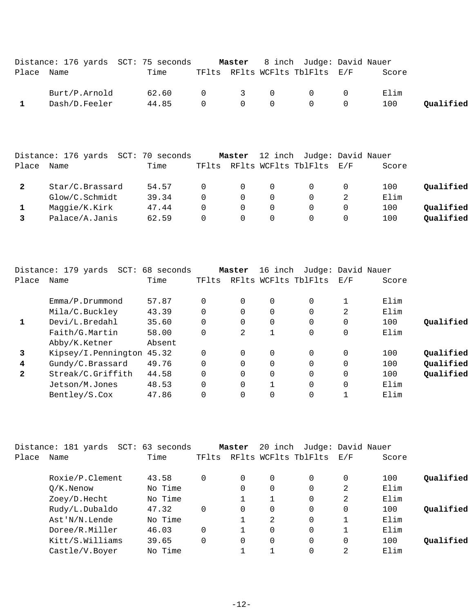|            | Distance: 176 yards SCT: 75 seconds |       |  |                                         | <b>Master</b> 8 inch Judge: David Nauer                    |        |       |           |
|------------|-------------------------------------|-------|--|-----------------------------------------|------------------------------------------------------------|--------|-------|-----------|
| Place Name |                                     | Time  |  |                                         | TFlts RFlts WCFlts TblFlts E/F                             |        | Score |           |
|            | Burt/P.Arnold                       | 62.60 |  |                                         | $\begin{array}{ccccccc}\n0 & & 3 & & 0 & & 0\n\end{array}$ | $\cap$ | Elim  |           |
|            | Dash/D.Feeler                       | 44.85 |  | $\begin{matrix} 0 & 0 & 0 \end{matrix}$ | $\begin{array}{ccc} & & & 0 & \quad & \end{array}$         |        | 100   | Oualified |

|       | Distance: 176 yards | SCT: 70 seconds |          | Master |          | 12 inch Judge: David Nauer |     |       |           |
|-------|---------------------|-----------------|----------|--------|----------|----------------------------|-----|-------|-----------|
| Place | Name                | Time            | TFlts    |        |          | RFlts WCFlts TblFlts       | E/F | Score |           |
|       | Star/C.Brassard     | 54.57           | $\Omega$ |        | $\Omega$ |                            |     | 100   | Oualified |
|       | Glow/C.Schmidt      | 39.34           |          |        | 0        |                            |     | Elim  |           |
|       | Maggie/K.Kirk       | 47.44           |          |        | 0        |                            |     | 100   | Oualified |
|       | Palace/A.Janis      | 62.59           | $\cap$   |        | 0        |                            |     | 100   | Qualified |

|              | Distance: 179 yards<br>SCT: | 68 seconds |       | Master   | 16 inch              |          | Judge: David Nauer |       |           |
|--------------|-----------------------------|------------|-------|----------|----------------------|----------|--------------------|-------|-----------|
| Place        | Name                        | Time       | TFlts |          | RFlts WCFlts TblFlts |          | E/F                | Score |           |
|              |                             |            |       |          |                      |          |                    |       |           |
|              | Emma/P.Drummond             | 57.87      |       | $\Omega$ | 0                    | $\Omega$ |                    | Elim  |           |
|              | Mila/C.Buckley              | 43.39      |       | 0        | 0                    | 0        | 2                  | Elim  |           |
|              | Devi/L.Bredahl              | 35.60      |       | $\Omega$ | 0                    | 0        | 0                  | 100   | Qualified |
|              | Faith/G.Martin              | 58.00      |       | 2        |                      | 0        | 0                  | Elim  |           |
|              | Abby/K.Ketner               | Absent     |       |          |                      |          |                    |       |           |
| 3            | Kipsey/I.Pennington 45.32   |            |       | $\Omega$ | 0                    | $\Omega$ | $\mathbf{0}$       | 100   | Oualified |
| 4            | Gundy/C.Brassard            | 49.76      |       | $\Omega$ | $\Omega$             | 0        | $\Omega$           | 100   | Qualified |
| $\mathbf{2}$ | Streak/C.Griffith           | 44.58      |       | $\Omega$ | $\Omega$             | $\Omega$ | $\Omega$           | 100   | Qualified |
|              | Jetson/M.Jones              | 48.53      |       | $\Omega$ |                      | 0        | $\Omega$           | Elim  |           |
|              | Bentley/S.Cox               | 47.86      |       | $\Omega$ | 0                    | 0        |                    | Elim  |           |

|       | Distance: 181 yards SCT: 63 seconds |         |       | Master   | 20 inch  | Judge: David Nauer   |          |       |           |
|-------|-------------------------------------|---------|-------|----------|----------|----------------------|----------|-------|-----------|
| Place | Name                                | Time    | TFlts |          |          | RFlts WCFlts TblFlts | E/F      | Score |           |
|       | Roxie/P.Clement                     | 43.58   | 0     | $\Omega$ | 0        |                      | 0        | 100   | Qualified |
|       | $O/K$ . Nenow                       | No Time |       | 0        | $\Omega$ | $\Omega$             | 2        | Elim  |           |
|       | Zoey/D.Hecht                        | No Time |       |          | 1        | $\Omega$             | 2        | Elim  |           |
|       | Rudy/L.Dubaldo                      | 47.32   | 0     | 0        | $\Omega$ | $\Omega$             | 0        | 100   | Qualified |
|       | Ast'N/N.Lende                       | No Time |       |          | 2        | $\Omega$             |          | Elim  |           |
|       | Doree/R.Miller                      | 46.03   | 0     |          | 0        | $\Omega$             |          | Elim  |           |
|       | Kitt/S.Williams                     | 39.65   | 0     | $\Omega$ | $\Omega$ | $\Omega$             | $\Omega$ | 100   | Oualified |
|       | Castle/V.Boyer                      | No Time |       |          |          | $\Omega$             | 2        | Elim  |           |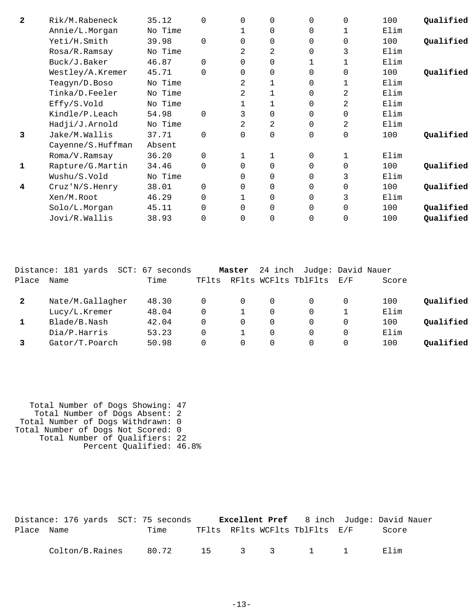| $\mathbf{2}$ | Rik/M.Rabeneck    | 35.12   | $\Omega$ | $\Omega$ | 0        | $\Omega$ | 0        | 100  | Oualified |
|--------------|-------------------|---------|----------|----------|----------|----------|----------|------|-----------|
|              | Annie/L.Morgan    | No Time |          |          | 0        | $\Omega$ |          | Elim |           |
|              | Yeti/H.Smith      | 39.98   | $\Omega$ | $\Omega$ | 0        | $\Omega$ | 0        | 100  | Qualified |
|              | Rosa/R.Ramsay     | No Time |          | 2        | 2        | 0        | 3        | Elim |           |
|              | Buck/J.Baker      | 46.87   | $\Omega$ | $\Omega$ | $\Omega$ |          |          | Elim |           |
|              | Westley/A.Kremer  | 45.71   | $\Omega$ | $\Omega$ | 0        | $\Omega$ | $\Omega$ | 100  | Qualified |
|              | Teagyn/D.Boso     | No Time |          | 2        |          | $\Omega$ | 1        | Elim |           |
|              | Tinka/D.Feeler    | No Time |          | 2        | 1        | $\Omega$ | 2        | Elim |           |
|              | Effy/S.Vold       | No Time |          |          |          | $\Omega$ | 2        | Elim |           |
|              | Kindle/P.Leach    | 54.98   | $\Omega$ | 3        | 0        | 0        | 0        | Elim |           |
|              | Hadji/J.Arnold    | No Time |          | 2        | 2        | $\Omega$ | 2        | Elim |           |
| 3            | Jake/M.Wallis     | 37.71   | $\Omega$ | $\Omega$ | 0        | 0        | 0        | 100  | Qualified |
|              | Cayenne/S.Huffman | Absent  |          |          |          |          |          |      |           |
|              | Roma/V.Ramsay     | 36.20   | $\Omega$ |          |          | 0        |          | Elim |           |
| 1            | Rapture/G.Martin  | 34.46   | $\Omega$ | $\Omega$ | 0        | $\Omega$ | 0        | 100  | Oualified |
|              | Wushu/S.Vold      | No Time |          | $\Omega$ | 0        | $\Omega$ | 3        | Elim |           |
| 4            | Cruz' N/S.Henry   | 38.01   | $\Omega$ | $\Omega$ | 0        | 0        | 0        | 100  | Qualified |
|              | Xen/M.Root        | 46.29   | $\Omega$ |          | 0        | 0        | 3        | Elim |           |
|              | Solo/L.Morgan     | 45.11   | $\Omega$ | $\Omega$ | $\Omega$ | $\Omega$ | $\Omega$ | 100  | Qualified |
|              | Jovi/R.Wallis     | 38.93   | 0        | 0        | $\Omega$ | $\Omega$ | $\Omega$ | 100  | Qualified |
|              |                   |         |          |          |          |          |          |      |           |

|              | Distance: 181 yards<br>SCT: | 67 seconds |       | Master   | 24 inch | Judge: David Nauer   |          |       |           |
|--------------|-----------------------------|------------|-------|----------|---------|----------------------|----------|-------|-----------|
| Place        | Name                        | Time       | TFlts |          |         | RFlts WCFlts TblFlts | F. / F   | Score |           |
| $\mathbf{2}$ | Nate/M.Gallagher            | 48.30      |       | $\Omega$ | 0       |                      | $\Omega$ | 100   | Qualified |
|              | Lucy/L.Kremer               | 48.04      |       |          | 0       |                      |          | Elim  |           |
|              | Blade/B.Nash                | 42.04      |       | $\Omega$ | 0       |                      | $\Omega$ | 100   | Oualified |
|              | Dia/P.Harris                | 53.23      |       |          | 0       |                      | $\Omega$ | Elim  |           |
|              | Gator/T.Poarch              | 50.98      |       | 0        | 0       |                      | 0        | 100   | Oualified |

 Total Number of Dogs Showing: 47 Total Number of Dogs Absent: 2 Total Number of Dogs Withdrawn: 0 Total Number of Dogs Not Scored: 0 Total Number of Qualifiers: 22 Percent Qualified: 46.8%

|            | Distance: 176 yards SCT: 75 seconds |      |  |                                | <b>Excellent Pref</b> 8 inch Judge: David Nauer |  |
|------------|-------------------------------------|------|--|--------------------------------|-------------------------------------------------|--|
| Place Name |                                     | Time |  | TFlts RFlts WCFlts TblFlts E/F | Score                                           |  |
|            | Colton/B.Raines 80.72 15 3 3 1 1    |      |  |                                | Elim                                            |  |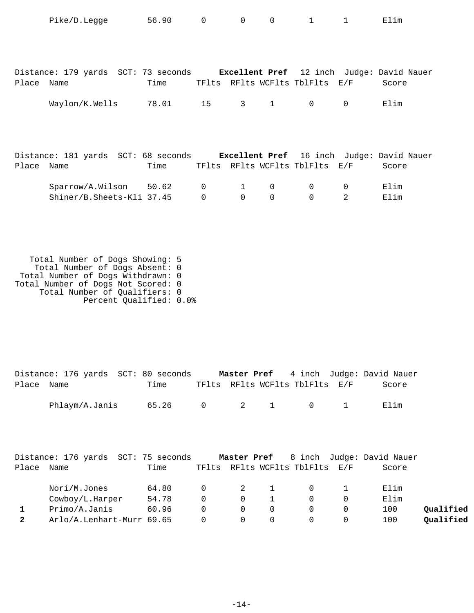| Distance: 179 yards SCT: 73 seconds Excellent Pref 12 inch Judge: David Nauer |
|-------------------------------------------------------------------------------|
|                                                                               |
|                                                                               |
|                                                                               |
|                                                                               |
| Distance: 181 yards SCT: 68 seconds Excellent Pref 16 inch Judge: David Nauer |
|                                                                               |
|                                                                               |
|                                                                               |
|                                                                               |
|                                                                               |
|                                                                               |
|                                                                               |
|                                                                               |
|                                                                               |

 Total Number of Qualifiers: 0 Percent Qualified: 0.0%

|            | Distance: 176 yards SCT: 80 seconds |       |  |                                | <b>Master Pref</b> 4 inch Judge: David Nauer |
|------------|-------------------------------------|-------|--|--------------------------------|----------------------------------------------|
| Place Name |                                     | Time  |  | TFlts RFlts WCFlts TblFlts E/F | Score                                        |
|            | Phlaym/A.Janis                      | 65.26 |  | 0 2 1 0 1                      | Elim                                         |

|       | Distance: 176 yards SCT: 75 seconds |       |          |                         |                                | Master Pref 8 inch Judge: David Nauer |           |
|-------|-------------------------------------|-------|----------|-------------------------|--------------------------------|---------------------------------------|-----------|
| Place | Name                                | Time  |          |                         | TFlts RFlts WCFlts TblFlts E/F | Score                                 |           |
|       | Nori/M.Jones                        | 64.80 | $\Omega$ | $\overline{\mathbf{c}}$ | $\Omega$                       | Elim                                  |           |
|       | Cowboy/L.Harper                     | 54.78 | $\Omega$ | $\Omega$                | $\Omega$                       | Elim                                  |           |
|       | Primo/A.Janis                       | 60.96 | 0        | $\Omega$                |                                | 100                                   | Oualified |
|       | Arlo/A.Lenhart-Murr 69.65           |       | $\Omega$ | $\Omega$                | $\Omega$                       | 100                                   | Qualified |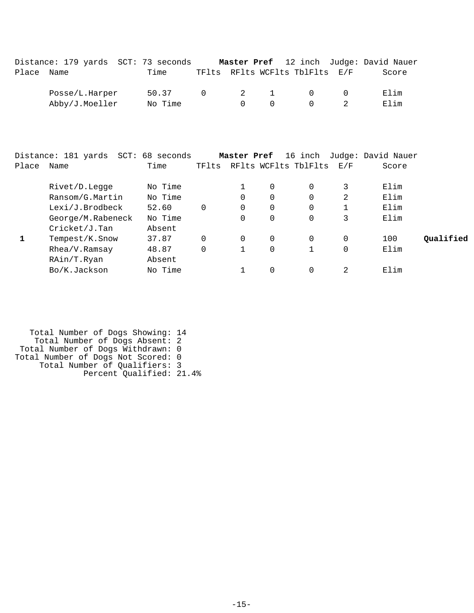|                                                                    | TFlts RFlts WCFlts TblFlts E/F | Score         |
|--------------------------------------------------------------------|--------------------------------|---------------|
|                                                                    |                                |               |
| $\begin{array}{cccc} 0 & 2 & 1 \end{array}$<br>$\cap$<br>$\bigcap$ |                                | Elim<br>Elim  |
|                                                                    |                                | $\cap$ $\cap$ |

|       | Distance: 181 yards SCT: 68 seconds |         |       | Master Pref |   | 16 inch              |     | Judge: David Nauer |           |
|-------|-------------------------------------|---------|-------|-------------|---|----------------------|-----|--------------------|-----------|
| Place | Name                                | Time    | TFlts |             |   | RFlts WCFlts TblFlts | E/F | Score              |           |
|       | Rivet/D.Legge                       | No Time |       |             | 0 | 0                    | 3   | Elim               |           |
|       | Ransom/G.Martin                     | No Time |       | 0           | 0 |                      | 2   | Elim               |           |
|       | Lexi/J.Brodbeck                     | 52.60   | 0     | 0           | 0 | 0                    |     | Elim               |           |
|       | George/M.Rabeneck                   | No Time |       | $\Omega$    | 0 | 0                    | 3   | Elim               |           |
|       | Cricket/J.Tan                       | Absent  |       |             |   |                      |     |                    |           |
|       | Tempest/K.Snow                      | 37.87   | 0     | 0           | 0 | 0                    |     | 100                | Oualified |
|       | Rhea/V.Ramsay                       | 48.87   | 0     |             | 0 |                      | 0   | Elim               |           |
|       | RAin/T.Ryan                         | Absent  |       |             |   |                      |     |                    |           |
|       | Bo/K.Jackson                        | No Time |       |             | 0 |                      | 2   | Elim               |           |

 Total Number of Dogs Showing: 14 Total Number of Dogs Absent: 2 Total Number of Dogs Withdrawn: 0 Total Number of Dogs Not Scored: 0 Total Number of Qualifiers: 3 Percent Qualified: 21.4%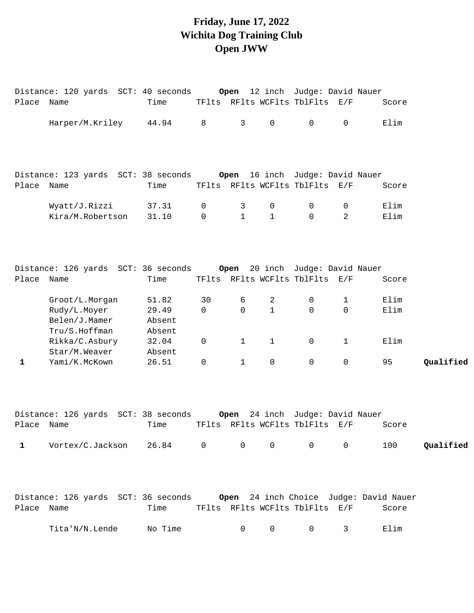# **Friday, June 17, 2022 Wichita Dog Training Club Open JWW**

|             | Distance: 120 yards SCT: 40 seconds Open 12 inch Judge: David Nauer |                 |              |                |                     |                                 |                   |       |           |
|-------------|---------------------------------------------------------------------|-----------------|--------------|----------------|---------------------|---------------------------------|-------------------|-------|-----------|
| Place Name  |                                                                     | Time            |              |                |                     | TFlts RFlts WCFlts TblFlts E/F  |                   | Score |           |
|             | Harper/M.Kriley                                                     | 44.94           | 8            | $\mathsf{3}$   | $\mathsf{O}\xspace$ | 0                               | $\mathbf 0$       | Elim  |           |
|             |                                                                     |                 |              |                |                     |                                 |                   |       |           |
|             |                                                                     |                 |              |                |                     |                                 |                   |       |           |
| Place Name  |                                                                     | Time            |              |                |                     | TFlts RFlts WCFlts TblFlts E/F  |                   | Score |           |
|             | Wyatt/J.Rizzi                                                       | 37.31           | 0            | 3              | 0                   | 0                               | 0                 | Elim  |           |
|             | Kira/M.Robertson                                                    | 31.10           | $\mathbf 0$  | $\mathbf{1}$   | $\mathbf{1}$        | $\mathbf 0$                     | 2                 | Elim  |           |
|             |                                                                     |                 |              |                |                     |                                 |                   |       |           |
|             |                                                                     |                 |              |                |                     |                                 |                   |       |           |
| Place Name  |                                                                     | Time            |              |                |                     | TFlts RFlts WCFlts TblFlts E/F  |                   | Score |           |
|             | Groot/L.Morgan                                                      | 51.82           | 30           | 6              | 2                   | 0                               | 1                 | Elim  |           |
|             | Rudy/L.Moyer                                                        | 29.49           | 0            | $\mathbf 0$    | $\mathbf{1}$        | $\mathsf{O}$                    | 0                 | Elim  |           |
|             | Belen/J.Mamer                                                       | Absent          |              |                |                     |                                 |                   |       |           |
|             | Tru/S.Hoffman                                                       | Absent          |              |                |                     |                                 |                   |       |           |
|             | Rikka/C.Asbury<br>Star/M.Weaver                                     | 32.04<br>Absent | 0            | $\mathbf{1}$   | $\mathbf{1}$        | 0                               | $\mathbf{1}$      | Elim  |           |
| $\mathbf 1$ | Yami/K.McKown                                                       | 26.51           | 0            | $\mathbf{1}$   | $\mathbf 0$         | $\mathbf 0$                     | $\mathbf 0$       | 95    | Qualified |
|             |                                                                     |                 |              |                |                     |                                 |                   |       |           |
|             | Distance: 126 yards SCT: 38 seconds                                 |                 |              |                |                     | Open 24 inch Judge: David Nauer |                   |       |           |
| Place Name  |                                                                     | Time            |              |                |                     | TFlts RFlts WCFlts TblFlts E/F  |                   | Score |           |
| 1           | Vortex/C.Jackson                                                    | 26.84           | $\mathsf{O}$ | $\overline{0}$ | $\overline{0}$      | $\overline{0}$                  | $0 \qquad \qquad$ | 100   | Qualified |
|             |                                                                     |                 |              |                |                     |                                 |                   |       |           |
|             |                                                                     |                 |              |                |                     |                                 |                   |       |           |
| Place Name  |                                                                     | Time            |              |                |                     | TFlts RFlts WCFlts TblFlts E/F  |                   | Score |           |
|             | Tita'N/N.Lende                                                      | No Time         |              | 0              | $\mathsf{O}$        | 0                               | 3                 | Elim  |           |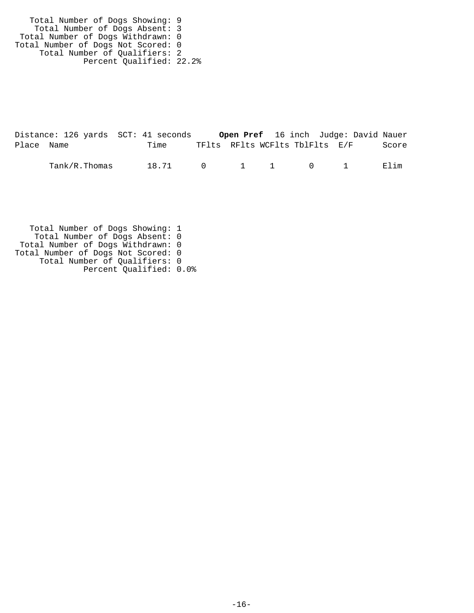Total Number of Dogs Showing: 9 Total Number of Dogs Absent: 3 Total Number of Dogs Withdrawn: 0 Total Number of Dogs Not Scored: 0 Total Number of Qualifiers: 2 Percent Qualified: 22.2%

|            | Distance: 126 yards SCT: 41 seconds |       |                                        |  | Open Pref 16 inch Judge: David Nauer |       |
|------------|-------------------------------------|-------|----------------------------------------|--|--------------------------------------|-------|
| Place Name |                                     | Time  | TFlts RFlts WCFlts TblFlts E/F         |  |                                      | Score |
|            | Tank/R.Thomas                       | 18.71 | $\begin{matrix}0&1&1&0&1 \end{matrix}$ |  |                                      | Elim  |

 Total Number of Dogs Showing: 1 Total Number of Dogs Absent: 0 Total Number of Dogs Withdrawn: 0 Total Number of Dogs Not Scored: 0 Total Number of Qualifiers: 0 Percent Qualified: 0.0%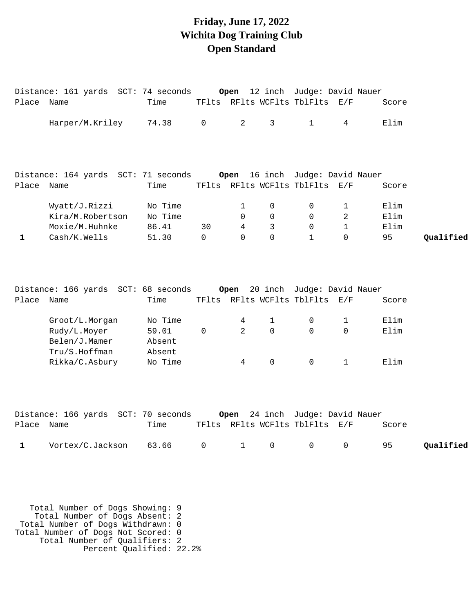### **Friday, June 17, 2022 Wichita Dog Training Club Open Standard**

|             | Distance: 161 yards SCT: 74 seconds Open 12 inch Judge: David Nauer |                           |          |                |              |                                                                   |              |              |           |
|-------------|---------------------------------------------------------------------|---------------------------|----------|----------------|--------------|-------------------------------------------------------------------|--------------|--------------|-----------|
| Place Name  |                                                                     | Time                      |          |                |              | TFlts RFlts WCFlts TblFlts E/F                                    |              | Score        |           |
|             | Harper/M.Kriley                                                     | 74.38                     | 0        | 2              | $\mathsf{3}$ | $\mathbf{1}$                                                      | 4            | Elim         |           |
|             | Distance: 164 yards SCT: 71 seconds Open 16 inch Judge: David Nauer |                           |          |                |              |                                                                   |              |              |           |
| Place       | Name                                                                | Time                      |          |                |              | TFlts RFlts WCFlts TblFlts E/F                                    |              | Score        |           |
|             | Wyatt/J.Rizzi<br>Kira/M.Robertson                                   | No Time<br>No Time        |          | 1<br>$\Omega$  | 0<br>0       | $\mathbf 0$<br>$\Omega$                                           | 1<br>2       | Elim<br>Elim |           |
|             | Moxie/M.Huhnke                                                      | 86.41                     | 30       | 4              | 3            | 0                                                                 | $\mathbf{1}$ | Elim         |           |
| $\mathbf 1$ | Cash/K.Wells                                                        | 51.30                     | $\Omega$ | $\Omega$       | $\Omega$     | $\mathbf{1}$                                                      | $\Omega$     | 95           | Qualified |
| Place       | Distance: 166 yards SCT: 68 seconds<br>Name                         | Time                      |          |                |              | Open 20 inch Judge: David Nauer<br>TFlts RFlts WCFlts TblFlts E/F |              | Score        |           |
|             |                                                                     |                           |          |                |              |                                                                   |              |              |           |
|             | Groot/L.Morgan                                                      | No Time                   |          | 4              | 1            | 0                                                                 | 1            | Elim         |           |
|             | Rudy/L.Moyer<br>Belen/J.Mamer<br>Tru/S.Hoffman                      | 59.01<br>Absent<br>Absent | 0        | $\overline{2}$ | $\Omega$     | $\Omega$                                                          | $\Omega$     | Elim         |           |
|             | Rikka/C.Asbury                                                      | No Time                   |          | 4              | $\mathsf 0$  | $\mathsf{O}$                                                      | $\mathbf{1}$ | Elim         |           |
|             | Distance: 166 yards SCT: 70 seconds                                 |                           |          |                |              | Open 24 inch Judge: David Nauer                                   |              |              |           |
| Place Name  |                                                                     | Time                      |          |                |              | TFlts RFlts WCFlts TblFlts E/F                                    |              | Score        |           |
| 1           | Vortex/C.Jackson                                                    | 63.66                     | 0        | 1              | 0            | 0                                                                 | 0            | 95           | Qualified |

 Total Number of Dogs Showing: 9 Total Number of Dogs Absent: 2 Total Number of Dogs Withdrawn: 0 Total Number of Dogs Not Scored: 0 Total Number of Qualifiers: 2 Percent Qualified: 22.2%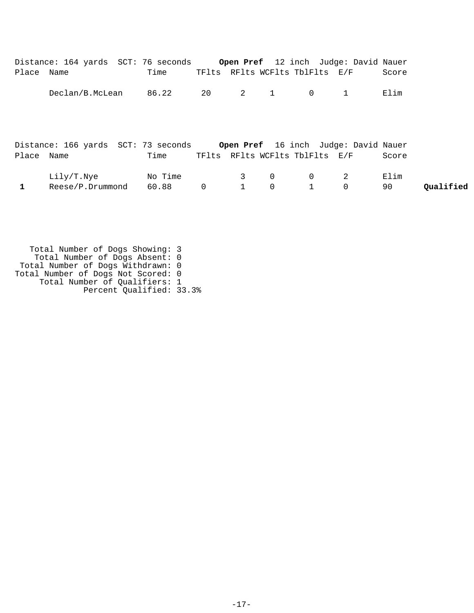|            | Distance: 164 yards SCT: 76 seconds                                      |         |    |                |                |                                | <b>Open Pref</b> 12 inch Judge: David Nauer |       |           |
|------------|--------------------------------------------------------------------------|---------|----|----------------|----------------|--------------------------------|---------------------------------------------|-------|-----------|
| Place Name |                                                                          | Time    |    |                |                | TFlts RFlts WCFlts TblFlts E/F |                                             | Score |           |
|            | Declan/B.McLean                                                          | 86.22   | 20 | $\overline{2}$ | 1              | $\overline{0}$                 |                                             | Elim  |           |
|            | Distance: 166 yards SCT: 73 seconds Open Pref 16 inch Judge: David Nauer |         |    |                |                |                                |                                             |       |           |
| Place Name |                                                                          | Time    |    |                |                | TFlts RFlts WCFlts TblFlts E/F |                                             | Score |           |
|            | Lily/T.Nye                                                               | No Time |    | $3^{\circ}$    | $\overline{0}$ | $\overline{0}$                 | 2                                           | Elim  |           |
|            | Reese/P.Drummond                                                         | 60.88   | 0  |                | $\mathbf 0$    |                                | $\mathbf 0$                                 | 90    | Oualified |

 Total Number of Dogs Showing: 3 Total Number of Dogs Absent: 0 Total Number of Dogs Withdrawn: 0 Total Number of Dogs Not Scored: 0 Total Number of Qualifiers: 1 Percent Qualified: 33.3%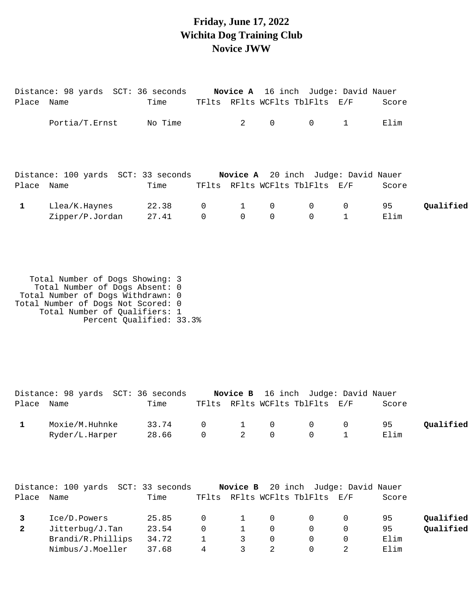### **Friday, June 17, 2022 Wichita Dog Training Club Novice JWW**

| Place Name   | Distance: 98 yards SCT: 36 seconds Novice A 16 inch Judge: David Nauer | Time           |                                |                          | TFlts RFlts WCFlts TblFlts E/F |                                  |                | Score                                      |           |
|--------------|------------------------------------------------------------------------|----------------|--------------------------------|--------------------------|--------------------------------|----------------------------------|----------------|--------------------------------------------|-----------|
|              | Portia/T.Ernst                                                         | No Time        |                                | $\overline{2}$           | $\overline{0}$                 | $\overline{0}$                   | $\overline{1}$ | Elim                                       |           |
|              | Distance: 100 yards SCT: 33 seconds                                    |                |                                |                          |                                |                                  |                | <b>Novice A</b> 20 inch Judge: David Nauer |           |
| Place Name   |                                                                        | Time           |                                |                          | TFlts RFlts WCFlts TblFlts E/F |                                  |                | Score                                      |           |
| $\mathbf{1}$ | Llea/K.Haynes<br>Zipper/P.Jordan                                       | 22.38<br>27.41 | $\overline{0}$<br>$\mathsf{O}$ | $1 \t 0$<br>$\mathsf{O}$ | $\overline{0}$                 | $\overline{0}$<br>$\overline{0}$ | $\overline{0}$ | 95<br>Elim                                 | Qualified |

 Total Number of Dogs Showing: 3 Total Number of Dogs Absent: 0 Total Number of Dogs Withdrawn: 0 Total Number of Dogs Not Scored: 0 Total Number of Qualifiers: 1 Percent Qualified: 33.3%

|            | Distance: 98 yards SCT: 36 seconds |             |  |                                   | <b>Novice B</b> 16 inch Judge: David Nauer |       |           |
|------------|------------------------------------|-------------|--|-----------------------------------|--------------------------------------------|-------|-----------|
| Place Name |                                    | Time        |  |                                   | TFlts RFlts WCFlts TblFlts E/F             | Score |           |
|            | Moxie/M.Huhnke                     | 33.74       |  | $\begin{matrix}0&1&0\end{matrix}$ | $\begin{array}{ccc} & & & 0 & \end{array}$ | 95    | Qualified |
|            | Ryder/L.Harper                     | 28.66 0 2 0 |  |                                   | $\sim$ 0                                   | Elim  |           |

|       | Distance: 100 yards SCT: 33 seconds |       |          |                |          | Novice B 20 inch Judge: David Nauer |       |           |
|-------|-------------------------------------|-------|----------|----------------|----------|-------------------------------------|-------|-----------|
| Place | Name                                | Time  | TFlts    |                |          | RFlts WCFlts TblFlts E/F            | Score |           |
|       | Ice/D.Powers                        | 25.85 | $\Omega$ |                | $\Omega$ | $\Omega$                            | 95    | Qualified |
|       | Jitterbug/J. <sub>Tan</sub>         | 23.54 | $\Omega$ |                | $\Omega$ |                                     | 95    | Qualified |
|       | Brandi/R.Phillips                   | 34.72 |          | $\overline{3}$ | $\Omega$ | $\Omega$                            | Elim  |           |
|       | Nimbus/J.Moeller                    | 37.68 | 4        |                |          |                                     | Elim  |           |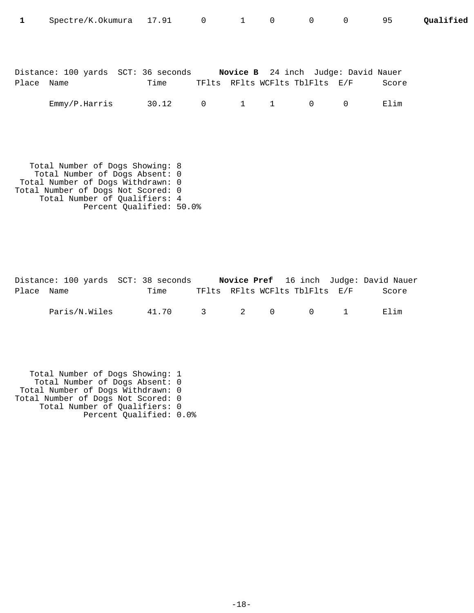| 1          | Spectre/K.Okumura 17.91 0 1 0                                           |       |              |                                | $\overline{0}$ | $\overline{0}$ | 95    | Qualified |
|------------|-------------------------------------------------------------------------|-------|--------------|--------------------------------|----------------|----------------|-------|-----------|
|            |                                                                         |       |              |                                |                |                |       |           |
| Place Name | Distance: 100 yards SCT: 36 seconds Novice B 24 inch Judge: David Nauer | Time  |              | TFlts RFlts WCFlts TblFlts E/F |                |                | Score |           |
|            | Emmy/P.Harris                                                           | 30.12 | $\mathsf{O}$ | $1 \qquad 1 \qquad 0$          |                | $\overline{0}$ | Elim  |           |
|            |                                                                         |       |              |                                |                |                |       |           |
|            | Total Number of Dogs Showing: 8                                         |       |              |                                |                |                |       |           |
|            | Total Number of Dogs Absent: 0<br>Total Number of Dogs Withdrawn: 0     |       |              |                                |                |                |       |           |

Total Number of Dogs Not Scored: 0 Total Number of Qualifiers: 4 Percent Qualified: 50.0%

|            |               | Distance: 100 yards SCT: 38 seconds |  |                                | <b>Novice Pref</b> 16 inch Judge: David Nauer |
|------------|---------------|-------------------------------------|--|--------------------------------|-----------------------------------------------|
| Place Name |               | Time                                |  | TFlts RFlts WCFlts TblFlts E/F | Score                                         |
|            | Paris/N.Wiles | 41.70 3 2 0 0 1                     |  |                                | Flim                                          |

 Total Number of Dogs Showing: 1 Total Number of Dogs Absent: 0 Total Number of Dogs Withdrawn: 0 Total Number of Dogs Not Scored: 0 Total Number of Qualifiers: 0 Percent Qualified: 0.0%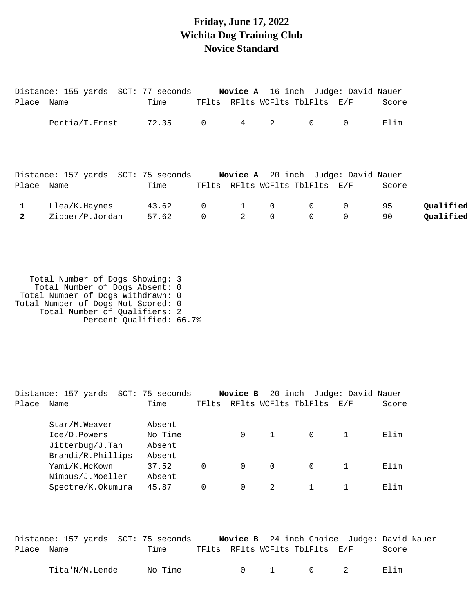### **Friday, June 17, 2022 Wichita Dog Training Club Novice Standard**

|              | Distance: 155 yards  SCT: 77 seconds     Novice A  16 inch  Judge: David Nauer |       |                |              |                |                                            |                |       |           |
|--------------|--------------------------------------------------------------------------------|-------|----------------|--------------|----------------|--------------------------------------------|----------------|-------|-----------|
| Place Name   |                                                                                | Time  |                |              |                | TFlts RFlts WCFlts TblFlts E/F             |                | Score |           |
|              | Portia/T.Ernst                                                                 | 72.35 | $\overline{0}$ | $4\degree$   | 2              | $\overline{0}$                             | 0              | Elim  |           |
|              | Distance: 157 yards SCT: 75 seconds                                            |       |                |              |                | <b>Novice A</b> 20 inch Judge: David Nauer |                |       |           |
| Place Name   |                                                                                | Time  |                |              |                | TFlts RFlts WCFlts TblFlts E/F             |                | Score |           |
| $\mathbf{1}$ | Llea/K.Haynes                                                                  | 43.62 | $\overline{0}$ | $\mathbf{1}$ | $\overline{0}$ | $\overline{0}$                             | $\overline{0}$ | 95    | Qualified |
|              | Zipper/P.Jordan                                                                | 57.62 | $\mathbf 0$    | 2            | $\mathbf 0$    | $\Omega$                                   | 0              | 90    | Qualified |

 Total Number of Dogs Showing: 3 Total Number of Dogs Absent: 0 Total Number of Dogs Withdrawn: 0 Total Number of Dogs Not Scored: 0 Total Number of Qualifiers: 2 Percent Qualified: 66.7%

|       | Distance: 157 yards         | SCT: 75 seconds |          | Novice B |               | 20 inch Judge: David Nauer |     |       |
|-------|-----------------------------|-----------------|----------|----------|---------------|----------------------------|-----|-------|
| Place | Name                        | Time            | TFlts    |          |               | RFlts WCFlts TblFlts       | E/F | Score |
|       | Star/M.Weaver               | Absent          |          |          |               |                            |     |       |
|       | Ice/D.Powers                | No Time         |          | 0        |               | $\Omega$                   |     | Elim  |
|       | Jitterbug/J. <sub>Tan</sub> | Absent          |          |          |               |                            |     |       |
|       | Brandi/R.Phillips           | Absent          |          |          |               |                            |     |       |
|       | Yami/K.McKown               | 37.52           | $\Omega$ | $\Omega$ | $\Omega$      | $\Omega$                   |     | Elim  |
|       | Nimbus/J.Moeller            | Absent          |          |          |               |                            |     |       |
|       | Spectre/K.Okumura           | 45.87           | $\Omega$ | 0        | $\mathcal{L}$ |                            |     | Elim  |
|       |                             |                 |          |          |               |                            |     |       |

|            | Distance: 157 yards SCT: 75 seconds |         |  | <b>Novice B</b> 24 inch Choice Judge: David Nauer |       |  |
|------------|-------------------------------------|---------|--|---------------------------------------------------|-------|--|
| Place Name |                                     | Time    |  | TFlts RFlts WCFlts TblFlts E/F                    | Score |  |
|            | Tita'N/N.Lende                      | No Time |  | $0 \qquad 1 \qquad 0 \qquad 2$                    | Flim  |  |